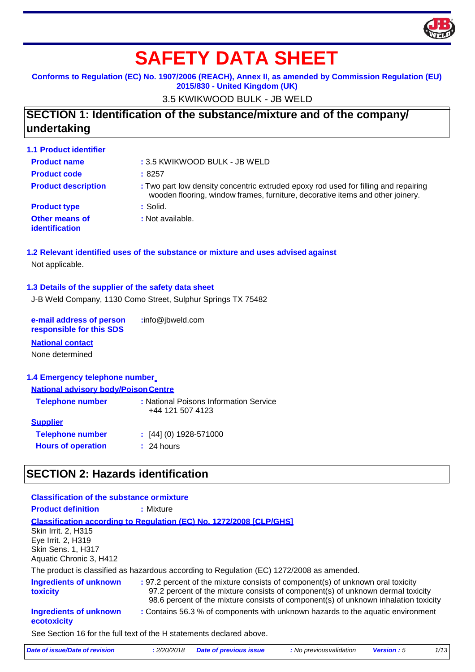

# **SAFETY DATA SHEET**

#### **Conforms to Regulation (EC) No. 1907/2006 (REACH), Annex II, as amended by Commission Regulation (EU) 2015/830 - United Kingdom (UK)**

3.5 KWIKWOOD BULK - JB WELD

# **SECTION 1: Identification of the substance/mixture and of the company/ undertaking**

| <b>1.1 Product identifier</b>           |                                                                                                                                                                       |
|-----------------------------------------|-----------------------------------------------------------------------------------------------------------------------------------------------------------------------|
| <b>Product name</b>                     | : 3.5 KWIKWOOD BULK - JB WELD                                                                                                                                         |
| <b>Product code</b>                     | :8257                                                                                                                                                                 |
| <b>Product description</b>              | : Two part low density concentric extruded epoxy rod used for filling and repairing<br>wooden flooring, window frames, furniture, decorative items and other joinery. |
| <b>Product type</b>                     | $:$ Solid.                                                                                                                                                            |
| <b>Other means of</b><br>identification | : Not available.                                                                                                                                                      |

#### **1.2 Relevant identified uses of the substance or mixture and uses advised against** Not applicable.

#### **1.3 Details of the supplier of the safety data sheet**

J-B Weld Company, 1130 Como Street, Sulphur Springs TX 75482

**e-mail address of person responsible for this SDS :**info@jbweld.com

#### **National contact**

None determined

#### **1.4 Emergency telephone number**

| <b>National advisory body/Poison Centre</b>                |
|------------------------------------------------------------|
| : National Poisons Information Service<br>+44 121 507 4123 |
|                                                            |
| $[44]$ (0) 1928-571000                                     |
| : 24 hours                                                 |
|                                                            |

### **SECTION 2: Hazards identification**

#### **Classification of the substance ormixture Product definition :** Mixture **Classification according to Regulation (EC) No. 1272/2008 [CLP/GHS]** Skin Irrit. 2, H315 Eye Irrit. 2, H319 Skin Sens. 1, H317 Aquatic Chronic 3, H412 The product is classified as hazardous according to Regulation (EC) 1272/2008 as amended. **Ingredients of unknown toxicity Ingredients of unknown ecotoxicity :** 97.2 percent of the mixture consists of component(s) of unknown oral toxicity 97.2 percent of the mixture consists of component(s) of unknown dermal toxicity 98.6 percent of the mixture consists of component(s) of unknown inhalation toxicity **:** Contains 56.3 % of components with unknown hazards to the aquatic environment See Section 16 for the full text of the H statements declared above.

| Date of issue/Date of revision | : 2/20/2018 Date of previous issue | : No previous validation | <b>Version :</b> 5 |  |
|--------------------------------|------------------------------------|--------------------------|--------------------|--|
|                                |                                    |                          |                    |  |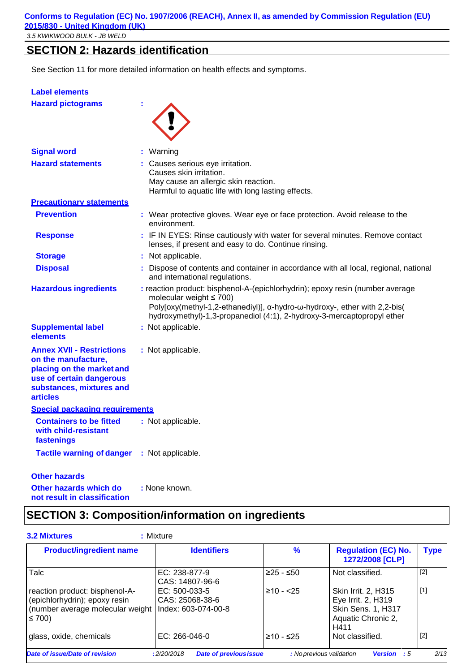# **SECTION 2: Hazards identification**

See Section 11 for more detailed information on health effects and symptoms.

| <b>Label elements</b>                                                                                                                                           |                                                                                                                                                                                                                                                                       |
|-----------------------------------------------------------------------------------------------------------------------------------------------------------------|-----------------------------------------------------------------------------------------------------------------------------------------------------------------------------------------------------------------------------------------------------------------------|
| <b>Hazard pictograms</b>                                                                                                                                        |                                                                                                                                                                                                                                                                       |
| <b>Signal word</b>                                                                                                                                              | : Warning                                                                                                                                                                                                                                                             |
| <b>Hazard statements</b>                                                                                                                                        | Causes serious eye irritation.<br>Causes skin irritation.<br>May cause an allergic skin reaction.<br>Harmful to aquatic life with long lasting effects.                                                                                                               |
| <b>Precautionary statements</b>                                                                                                                                 |                                                                                                                                                                                                                                                                       |
| <b>Prevention</b>                                                                                                                                               | : Wear protective gloves. Wear eye or face protection. Avoid release to the<br>environment.                                                                                                                                                                           |
| <b>Response</b>                                                                                                                                                 | : IF IN EYES: Rinse cautiously with water for several minutes. Remove contact<br>lenses, if present and easy to do. Continue rinsing.                                                                                                                                 |
| <b>Storage</b>                                                                                                                                                  | : Not applicable.                                                                                                                                                                                                                                                     |
| <b>Disposal</b>                                                                                                                                                 | : Dispose of contents and container in accordance with all local, regional, national<br>and international regulations.                                                                                                                                                |
| <b>Hazardous ingredients</b>                                                                                                                                    | : reaction product: bisphenol-A-(epichlorhydrin); epoxy resin (number average<br>molecular weight $\leq 700$ )<br>Poly[oxy(methyl-1,2-ethanediyl)], a-hydro-w-hydroxy-, ether with 2,2-bis(<br>hydroxymethyl)-1,3-propanediol (4:1), 2-hydroxy-3-mercaptopropyl ether |
| <b>Supplemental label</b><br>elements                                                                                                                           | : Not applicable.                                                                                                                                                                                                                                                     |
| <b>Annex XVII - Restrictions</b><br>on the manufacture,<br>placing on the market and<br>use of certain dangerous<br>substances, mixtures and<br><b>articles</b> | : Not applicable.                                                                                                                                                                                                                                                     |
| Special packaging requirements                                                                                                                                  |                                                                                                                                                                                                                                                                       |
| <b>Containers to be fitted</b><br>with child-resistant<br>fastenings                                                                                            | : Not applicable.                                                                                                                                                                                                                                                     |
| <b>Tactile warning of danger</b>                                                                                                                                | : Not applicable.                                                                                                                                                                                                                                                     |
| <b>Other hazards</b>                                                                                                                                            |                                                                                                                                                                                                                                                                       |

**Other hazards which do not result in classification :** None known.

# **SECTION 3: Composition/information on ingredients**

| <b>Product/ingredient name</b>                                                                                                          | <b>Identifiers</b>               | $\%$           | <b>Regulation (EC) No.</b><br>1272/2008 [CLP]                                                 | <b>Type</b> |
|-----------------------------------------------------------------------------------------------------------------------------------------|----------------------------------|----------------|-----------------------------------------------------------------------------------------------|-------------|
| Talc                                                                                                                                    | EC: 238-877-9<br>CAS: 14807-96-6 | $≥25 - ≤50$    | Not classified.                                                                               | $[2]$       |
| reaction product: bisphenol-A-<br>(epichlorhydrin); epoxy resin<br>(number average molecular weight   Index: 603-074-00-8<br>$\leq 700$ | EC: 500-033-5<br>CAS: 25068-38-6 | $\geq 10 - 25$ | Skin Irrit. 2, H315<br>Eye Irrit. 2, H319<br>Skin Sens. 1, H317<br>Aquatic Chronic 2,<br>H411 | $[1]$       |
| glass, oxide, chemicals                                                                                                                 | $EC: 266-046-0$                  | $≥10 - ≤25$    | Not classified.                                                                               | $[2]$       |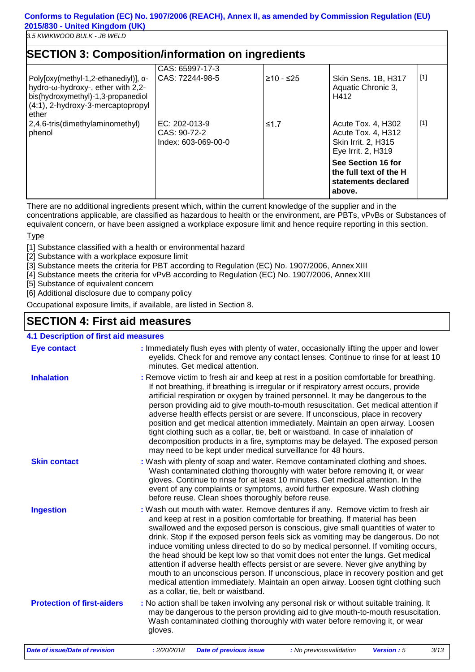*3.5 KWIKWOOD BULK - JB WELD*

| <b>SECTION 3: Composition/information on ingredients</b>                                                                                                                  | CAS: 65997-17-3                                        |             |                                                                                       |       |
|---------------------------------------------------------------------------------------------------------------------------------------------------------------------------|--------------------------------------------------------|-------------|---------------------------------------------------------------------------------------|-------|
| Poly $[0xy$ (methyl-1,2-ethanediyl)], $\alpha$ -<br>hydro-ω-hydroxy-, ether with 2,2-<br>bis(hydroxymethyl)-1,3-propanediol<br>(4:1), 2-hydroxy-3-mercaptopropyl<br>ether | CAS: 72244-98-5                                        | $≥10 - ≤25$ | Skin Sens. 1B, H317<br>Aquatic Chronic 3,<br>H412                                     | $[1]$ |
| 2,4,6-tris(dimethylaminomethyl)<br>phenol                                                                                                                                 | $EC: 202-013-9$<br>CAS: 90-72-2<br>Index: 603-069-00-0 | $≤1.7$      | Acute Tox. 4, H302<br>Acute Tox. 4, H312<br>Skin Irrit. 2, H315<br>Eye Irrit. 2, H319 | $[1]$ |
|                                                                                                                                                                           |                                                        |             | See Section 16 for<br>the full text of the H<br>statements declared<br>above.         |       |

There are no additional ingredients present which, within the current knowledge of the supplier and in the

concentrations applicable, are classified as hazardous to health or the environment, are PBTs, vPvBs or Substances of equivalent concern, or have been assigned a workplace exposure limit and hence require reporting in this section.

#### **Type**

[1] Substance classified with a health or environmental hazard

[2] Substance with a workplace exposure limit

[3] Substance meets the criteria for PBT according to Regulation (EC) No. 1907/2006, Annex XIII

[4] Substance meets the criteria for vPvB according to Regulation (EC) No. 1907/2006, AnnexXIII

[5] Substance of equivalent concern

[6] Additional disclosure due to company policy

Occupational exposure limits, if available, are listed in Section 8.

### **SECTION 4: First aid measures**

#### **4.1 Description of first aid measures**

| <b>Eye contact</b>                    |             | : Immediately flush eyes with plenty of water, occasionally lifting the upper and lower<br>eyelids. Check for and remove any contact lenses. Continue to rinse for at least 10<br>minutes. Get medical attention.                                                                                                                                                                                                                                                                                                                                                                                                                                                                                                                                                                                                            |                          |                   |      |
|---------------------------------------|-------------|------------------------------------------------------------------------------------------------------------------------------------------------------------------------------------------------------------------------------------------------------------------------------------------------------------------------------------------------------------------------------------------------------------------------------------------------------------------------------------------------------------------------------------------------------------------------------------------------------------------------------------------------------------------------------------------------------------------------------------------------------------------------------------------------------------------------------|--------------------------|-------------------|------|
| <b>Inhalation</b>                     |             | : Remove victim to fresh air and keep at rest in a position comfortable for breathing.<br>If not breathing, if breathing is irregular or if respiratory arrest occurs, provide<br>artificial respiration or oxygen by trained personnel. It may be dangerous to the<br>person providing aid to give mouth-to-mouth resuscitation. Get medical attention if<br>adverse health effects persist or are severe. If unconscious, place in recovery<br>position and get medical attention immediately. Maintain an open airway. Loosen<br>tight clothing such as a collar, tie, belt or waistband. In case of inhalation of<br>decomposition products in a fire, symptoms may be delayed. The exposed person<br>may need to be kept under medical surveillance for 48 hours.                                                       |                          |                   |      |
| <b>Skin contact</b>                   |             | : Wash with plenty of soap and water. Remove contaminated clothing and shoes.<br>Wash contaminated clothing thoroughly with water before removing it, or wear<br>gloves. Continue to rinse for at least 10 minutes. Get medical attention. In the<br>event of any complaints or symptoms, avoid further exposure. Wash clothing<br>before reuse. Clean shoes thoroughly before reuse.                                                                                                                                                                                                                                                                                                                                                                                                                                        |                          |                   |      |
| <b>Ingestion</b>                      |             | : Wash out mouth with water. Remove dentures if any. Remove victim to fresh air<br>and keep at rest in a position comfortable for breathing. If material has been<br>swallowed and the exposed person is conscious, give small quantities of water to<br>drink. Stop if the exposed person feels sick as vomiting may be dangerous. Do not<br>induce vomiting unless directed to do so by medical personnel. If vomiting occurs,<br>the head should be kept low so that vomit does not enter the lungs. Get medical<br>attention if adverse health effects persist or are severe. Never give anything by<br>mouth to an unconscious person. If unconscious, place in recovery position and get<br>medical attention immediately. Maintain an open airway. Loosen tight clothing such<br>as a collar, tie, belt or waistband. |                          |                   |      |
| <b>Protection of first-aiders</b>     | gloves.     | : No action shall be taken involving any personal risk or without suitable training. It<br>may be dangerous to the person providing aid to give mouth-to-mouth resuscitation.<br>Wash contaminated clothing thoroughly with water before removing it, or wear                                                                                                                                                                                                                                                                                                                                                                                                                                                                                                                                                                |                          |                   |      |
| <b>Date of issue/Date of revision</b> | : 2/20/2018 | <b>Date of previous issue</b>                                                                                                                                                                                                                                                                                                                                                                                                                                                                                                                                                                                                                                                                                                                                                                                                | : No previous validation | <b>Version: 5</b> | 3/13 |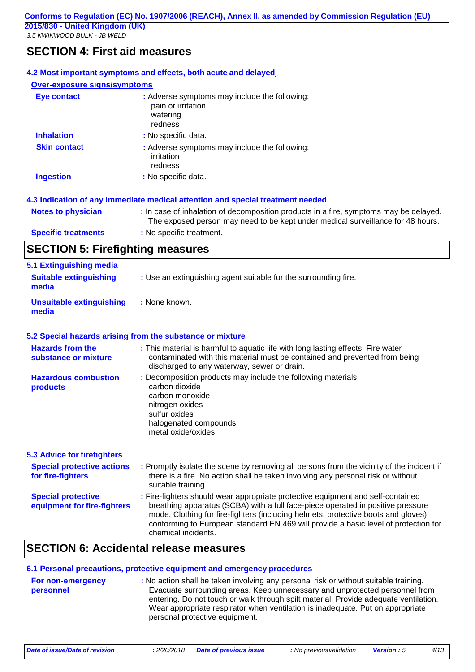### **SECTION 4: First aid measures**

|                                     | 4.2 Most important symptoms and effects, both acute and delayed.                                                                                                         |
|-------------------------------------|--------------------------------------------------------------------------------------------------------------------------------------------------------------------------|
| <b>Over-exposure signs/symptoms</b> |                                                                                                                                                                          |
| <b>Eye contact</b>                  | : Adverse symptoms may include the following:<br>pain or irritation<br>watering<br>redness                                                                               |
| <b>Inhalation</b>                   | : No specific data.                                                                                                                                                      |
| <b>Skin contact</b>                 | : Adverse symptoms may include the following:<br>irritation<br>redness                                                                                                   |
| <b>Ingestion</b>                    | : No specific data.                                                                                                                                                      |
|                                     | 4.3 Indication of any immediate medical attention and special treatment needed                                                                                           |
| <b>Notes to physician</b>           | : In case of inhalation of decomposition products in a fire, symptoms may be delayed.<br>The exposed person may need to be kept under medical surveillance for 48 hours. |
| <b>Specific treatments</b>          | : No specific treatment.                                                                                                                                                 |
|                                     |                                                                                                                                                                          |

# **SECTION 5: Firefighting measures**

| 5.1 Extinguishing media<br><b>Suitable extinguishing</b><br>media | : Use an extinguishing agent suitable for the surrounding fire.                                                                                                                                                                                                                                                                                                       |
|-------------------------------------------------------------------|-----------------------------------------------------------------------------------------------------------------------------------------------------------------------------------------------------------------------------------------------------------------------------------------------------------------------------------------------------------------------|
| <b>Unsuitable extinguishing</b><br>media                          | : None known.                                                                                                                                                                                                                                                                                                                                                         |
|                                                                   | 5.2 Special hazards arising from the substance or mixture                                                                                                                                                                                                                                                                                                             |
| <b>Hazards from the</b><br>substance or mixture                   | : This material is harmful to aquatic life with long lasting effects. Fire water<br>contaminated with this material must be contained and prevented from being<br>discharged to any waterway, sewer or drain.                                                                                                                                                         |
| <b>Hazardous combustion</b><br>products                           | : Decomposition products may include the following materials:<br>carbon dioxide<br>carbon monoxide<br>nitrogen oxides<br>sulfur oxides<br>halogenated compounds<br>metal oxide/oxides                                                                                                                                                                                 |
| <b>5.3 Advice for firefighters</b>                                |                                                                                                                                                                                                                                                                                                                                                                       |
| <b>Special protective actions</b><br>for fire-fighters            | : Promptly isolate the scene by removing all persons from the vicinity of the incident if<br>there is a fire. No action shall be taken involving any personal risk or without<br>suitable training.                                                                                                                                                                   |
| <b>Special protective</b><br>equipment for fire-fighters          | : Fire-fighters should wear appropriate protective equipment and self-contained<br>breathing apparatus (SCBA) with a full face-piece operated in positive pressure<br>mode. Clothing for fire-fighters (including helmets, protective boots and gloves)<br>conforming to European standard EN 469 will provide a basic level of protection for<br>chemical incidents. |

# **SECTION 6: Accidental release measures**

#### **6.1 Personal precautions, protective equipment and emergency procedures For non-emergency personnel :** No action shall be taken involving any personal risk or without suitable training. Evacuate surrounding areas. Keep unnecessary and unprotected personnel from entering. Do not touch or walk through spilt material. Provide adequate ventilation. Wear appropriate respirator when ventilation is inadequate. Put on appropriate personal protective equipment.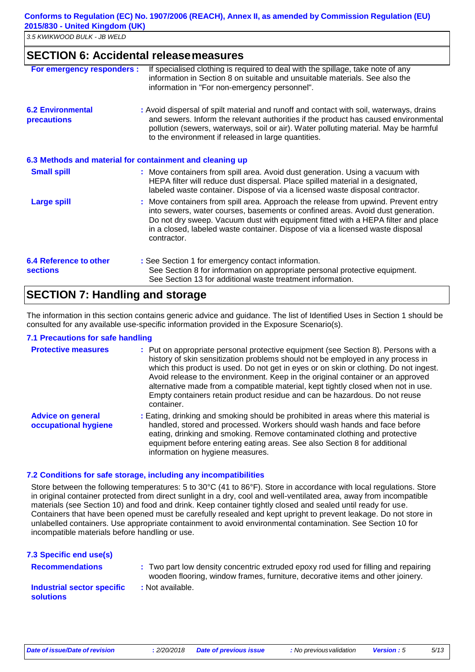*3.5 KWIKWOOD BULK - JB WELD*

### **SECTION 6: Accidental releasemeasures**

| For emergency responders :                               | If specialised clothing is required to deal with the spillage, take note of any<br>information in Section 8 on suitable and unsuitable materials. See also the<br>information in "For non-emergency personnel".                                                                                                                                            |
|----------------------------------------------------------|------------------------------------------------------------------------------------------------------------------------------------------------------------------------------------------------------------------------------------------------------------------------------------------------------------------------------------------------------------|
| <b>6.2 Environmental</b><br><b>precautions</b>           | : Avoid dispersal of spilt material and runoff and contact with soil, waterways, drains<br>and sewers. Inform the relevant authorities if the product has caused environmental<br>pollution (sewers, waterways, soil or air). Water polluting material. May be harmful<br>to the environment if released in large quantities.                              |
| 6.3 Methods and material for containment and cleaning up |                                                                                                                                                                                                                                                                                                                                                            |
| <b>Small spill</b>                                       | : Move containers from spill area. Avoid dust generation. Using a vacuum with<br>HEPA filter will reduce dust dispersal. Place spilled material in a designated,<br>labeled waste container. Dispose of via a licensed waste disposal contractor.                                                                                                          |
| <b>Large spill</b>                                       | : Move containers from spill area. Approach the release from upwind. Prevent entry<br>into sewers, water courses, basements or confined areas. Avoid dust generation.<br>Do not dry sweep. Vacuum dust with equipment fitted with a HEPA filter and place<br>in a closed, labeled waste container. Dispose of via a licensed waste disposal<br>contractor. |
| 6.4 Reference to other<br><b>sections</b>                | : See Section 1 for emergency contact information.<br>See Section 8 for information on appropriate personal protective equipment.<br>See Section 13 for additional waste treatment information.                                                                                                                                                            |

# **SECTION 7: Handling and storage**

The information in this section contains generic advice and guidance. The list of Identified Uses in Section 1 should be consulted for any available use-specific information provided in the Exposure Scenario(s).

#### **7.1 Precautions for safe handling**

| <b>Protective measures</b>                       | : Put on appropriate personal protective equipment (see Section 8). Persons with a<br>history of skin sensitization problems should not be employed in any process in<br>which this product is used. Do not get in eyes or on skin or clothing. Do not ingest.<br>Avoid release to the environment. Keep in the original container or an approved<br>alternative made from a compatible material, kept tightly closed when not in use.<br>Empty containers retain product residue and can be hazardous. Do not reuse<br>container. |
|--------------------------------------------------|------------------------------------------------------------------------------------------------------------------------------------------------------------------------------------------------------------------------------------------------------------------------------------------------------------------------------------------------------------------------------------------------------------------------------------------------------------------------------------------------------------------------------------|
| <b>Advice on general</b><br>occupational hygiene | : Eating, drinking and smoking should be prohibited in areas where this material is<br>handled, stored and processed. Workers should wash hands and face before<br>eating, drinking and smoking. Remove contaminated clothing and protective<br>equipment before entering eating areas. See also Section 8 for additional<br>information on hygiene measures.                                                                                                                                                                      |

#### **7.2 Conditions for safe storage, including any incompatibilities**

Store between the following temperatures: 5 to 30°C (41 to 86°F). Store in accordance with local regulations. Store in original container protected from direct sunlight in a dry, cool and well-ventilated area, away from incompatible materials (see Section 10) and food and drink. Keep container tightly closed and sealed until ready for use. Containers that have been opened must be carefully resealed and kept upright to prevent leakage. Do not store in unlabelled containers. Use appropriate containment to avoid environmental contamination. See Section 10 for incompatible materials before handling or use.

| 7.3 Specific end use(s)                        |                                                                                                                                                                       |
|------------------------------------------------|-----------------------------------------------------------------------------------------------------------------------------------------------------------------------|
| <b>Recommendations</b>                         | : Two part low density concentric extruded epoxy rod used for filling and repairing<br>wooden flooring, window frames, furniture, decorative items and other joinery. |
| Industrial sector specific<br><b>solutions</b> | : Not available.                                                                                                                                                      |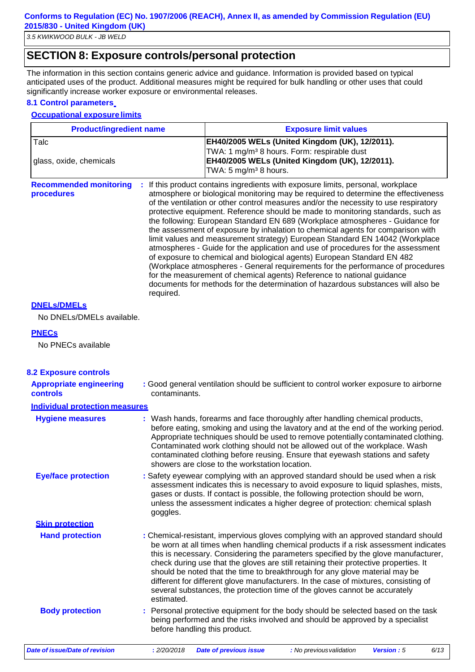# **SECTION 8: Exposure controls/personal protection**

The information in this section contains generic advice and guidance. Information is provided based on typical anticipated uses of the product. Additional measures might be required for bulk handling or other uses that could significantly increase worker exposure or environmental releases.

#### **8.1 Control parameters**

#### **Occupational exposure limits**

| <b>Product/ingredient name</b>              | <b>Exposure limit values</b>                                                                                                                                                                                                                                                                                                                                                                                                                                                                                                                                                                                                                                                                                                                                                                                                                                                                                                                                                                                                       |
|---------------------------------------------|------------------------------------------------------------------------------------------------------------------------------------------------------------------------------------------------------------------------------------------------------------------------------------------------------------------------------------------------------------------------------------------------------------------------------------------------------------------------------------------------------------------------------------------------------------------------------------------------------------------------------------------------------------------------------------------------------------------------------------------------------------------------------------------------------------------------------------------------------------------------------------------------------------------------------------------------------------------------------------------------------------------------------------|
| Talc<br>glass, oxide, chemicals             | EH40/2005 WELs (United Kingdom (UK), 12/2011).<br>TWA: 1 mg/m <sup>3</sup> 8 hours. Form: respirable dust<br>EH40/2005 WELs (United Kingdom (UK), 12/2011).<br>TWA: 5 mg/m <sup>3</sup> 8 hours.                                                                                                                                                                                                                                                                                                                                                                                                                                                                                                                                                                                                                                                                                                                                                                                                                                   |
| <b>Recommended monitoring</b><br>procedures | : If this product contains ingredients with exposure limits, personal, workplace<br>atmosphere or biological monitoring may be required to determine the effectiveness<br>of the ventilation or other control measures and/or the necessity to use respiratory<br>protective equipment. Reference should be made to monitoring standards, such as<br>the following: European Standard EN 689 (Workplace atmospheres - Guidance for<br>the assessment of exposure by inhalation to chemical agents for comparison with<br>limit values and measurement strategy) European Standard EN 14042 (Workplace<br>atmospheres - Guide for the application and use of procedures for the assessment<br>of exposure to chemical and biological agents) European Standard EN 482<br>(Workplace atmospheres - General requirements for the performance of procedures<br>for the measurement of chemical agents) Reference to national guidance<br>documents for methods for the determination of hazardous substances will also be<br>required. |

#### **DNELs/DMELs**

No DNELs/DMELs available.

#### **PNECs**

No PNECs available

| <b>8.2 Exposure controls</b>               |                                                                                                                                                                                                                                                                                                                                                                                                                                                                                                                                                                                                                           |
|--------------------------------------------|---------------------------------------------------------------------------------------------------------------------------------------------------------------------------------------------------------------------------------------------------------------------------------------------------------------------------------------------------------------------------------------------------------------------------------------------------------------------------------------------------------------------------------------------------------------------------------------------------------------------------|
| <b>Appropriate engineering</b><br>controls | : Good general ventilation should be sufficient to control worker exposure to airborne<br>contaminants.                                                                                                                                                                                                                                                                                                                                                                                                                                                                                                                   |
| Individual protection measures             |                                                                                                                                                                                                                                                                                                                                                                                                                                                                                                                                                                                                                           |
| <b>Hygiene measures</b>                    | : Wash hands, forearms and face thoroughly after handling chemical products,<br>before eating, smoking and using the lavatory and at the end of the working period.<br>Appropriate techniques should be used to remove potentially contaminated clothing.<br>Contaminated work clothing should not be allowed out of the workplace. Wash<br>contaminated clothing before reusing. Ensure that eyewash stations and safety<br>showers are close to the workstation location.                                                                                                                                               |
| <b>Eye/face protection</b>                 | : Safety eyewear complying with an approved standard should be used when a risk<br>assessment indicates this is necessary to avoid exposure to liquid splashes, mists,<br>gases or dusts. If contact is possible, the following protection should be worn,<br>unless the assessment indicates a higher degree of protection: chemical splash<br>goggles.                                                                                                                                                                                                                                                                  |
| <b>Skin protection</b>                     |                                                                                                                                                                                                                                                                                                                                                                                                                                                                                                                                                                                                                           |
| <b>Hand protection</b>                     | : Chemical-resistant, impervious gloves complying with an approved standard should<br>be worn at all times when handling chemical products if a risk assessment indicates<br>this is necessary. Considering the parameters specified by the glove manufacturer,<br>check during use that the gloves are still retaining their protective properties. It<br>should be noted that the time to breakthrough for any glove material may be<br>different for different glove manufacturers. In the case of mixtures, consisting of<br>several substances, the protection time of the gloves cannot be accurately<br>estimated. |
| <b>Body protection</b>                     | : Personal protective equipment for the body should be selected based on the task<br>being performed and the risks involved and should be approved by a specialist<br>before handling this product.                                                                                                                                                                                                                                                                                                                                                                                                                       |
| <b>Date of issue/Date of revision</b>      | : 2/20/2018<br><b>Date of previous issue</b><br>: No previous validation<br>Version: 5<br>6/13                                                                                                                                                                                                                                                                                                                                                                                                                                                                                                                            |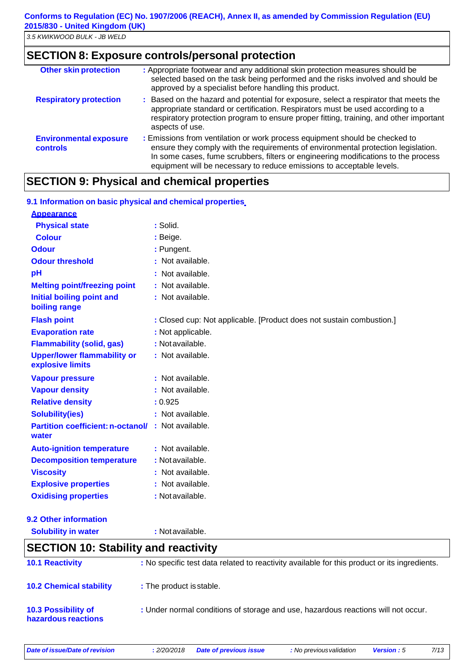### **SECTION 8: Exposure controls/personal protection**

| <b>Other skin protection</b>                     | : Appropriate footwear and any additional skin protection measures should be<br>selected based on the task being performed and the risks involved and should be<br>approved by a specialist before handling this product.                                                                                                       |
|--------------------------------------------------|---------------------------------------------------------------------------------------------------------------------------------------------------------------------------------------------------------------------------------------------------------------------------------------------------------------------------------|
| <b>Respiratory protection</b>                    | : Based on the hazard and potential for exposure, select a respirator that meets the<br>appropriate standard or certification. Respirators must be used according to a<br>respiratory protection program to ensure proper fitting, training, and other important<br>aspects of use.                                             |
| <b>Environmental exposure</b><br><b>controls</b> | : Emissions from ventilation or work process equipment should be checked to<br>ensure they comply with the requirements of environmental protection legislation.<br>In some cases, fume scrubbers, filters or engineering modifications to the process<br>equipment will be necessary to reduce emissions to acceptable levels. |

# **SECTION 9: Physical and chemical properties**

| 9.1 Information on basic physical and chemical properties.  |                                                                      |
|-------------------------------------------------------------|----------------------------------------------------------------------|
| <b>Appearance</b>                                           |                                                                      |
| <b>Physical state</b>                                       | : Solid.                                                             |
| <b>Colour</b>                                               | : Beige.                                                             |
| <b>Odour</b>                                                | : Pungent.                                                           |
| <b>Odour threshold</b>                                      | : Not available.                                                     |
| pH                                                          | : Not available.                                                     |
| <b>Melting point/freezing point</b>                         | : Not available.                                                     |
| <b>Initial boiling point and</b><br>boiling range           | : Not available.                                                     |
| <b>Flash point</b>                                          | : Closed cup: Not applicable. [Product does not sustain combustion.] |
| <b>Evaporation rate</b>                                     | : Not applicable.                                                    |
| <b>Flammability (solid, gas)</b>                            | : Not available.                                                     |
| <b>Upper/lower flammability or</b><br>explosive limits      | : Not available.                                                     |
| <b>Vapour pressure</b>                                      | : Not available.                                                     |
| <b>Vapour density</b>                                       | : Not available.                                                     |
| <b>Relative density</b>                                     | : 0.925                                                              |
| <b>Solubility(ies)</b>                                      | : Not available.                                                     |
| Partition coefficient: n-octanol/ : Not available.<br>water |                                                                      |
| <b>Auto-ignition temperature</b>                            | : Not available.                                                     |
| <b>Decomposition temperature</b>                            | : Not available.                                                     |
| <b>Viscosity</b>                                            | : Not available.                                                     |
| <b>Explosive properties</b>                                 | : Not available.                                                     |
| <b>Oxidising properties</b>                                 | : Not available.                                                     |
|                                                             |                                                                      |

**9.2 Other information**

**Solubility in water :** Notavailable.

### **SECTION 10: Stability and reactivity**

| <b>10.1 Reactivity</b>                            | : No specific test data related to reactivity available for this product or its ingredients. |
|---------------------------------------------------|----------------------------------------------------------------------------------------------|
| <b>10.2 Chemical stability</b>                    | : The product is stable.                                                                     |
| <b>10.3 Possibility of</b><br>hazardous reactions | : Under normal conditions of storage and use, hazardous reactions will not occur.            |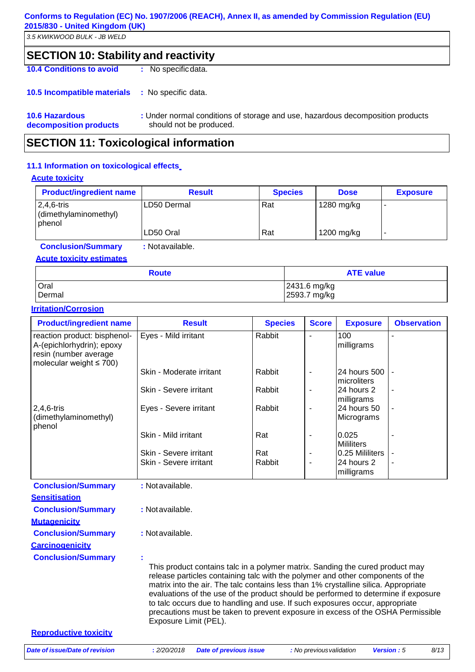*3.5 KWIKWOOD BULK - JB WELD*

# **SECTION 10: Stability and reactivity**

**10.4 Conditions to avoid :** No specificdata.

**10.5 Incompatible materials :** No specific data.

**10.6 Hazardous decomposition products :** Under normal conditions of storage and use, hazardous decomposition products should not be produced.

### **SECTION 11: Toxicological information**

#### **11.1 Information on toxicological effects**

#### **Acute toxicity**

| <b>Product/ingredient name</b>                            | <b>Result</b> | <b>Species</b> | <b>Dose</b> | <b>Exposure</b> |
|-----------------------------------------------------------|---------------|----------------|-------------|-----------------|
| $2,4,6$ -tris<br>(dimethylaminomethyl)<br><b>I</b> phenol | LD50 Dermal   | Rat            | 1280 mg/kg  |                 |
|                                                           | LD50 Oral     | Rat            | 1200 mg/kg  |                 |

**Conclusion/Summary :** Notavailable.

#### **Acute toxicity estimates**

| <b>Route</b> | <b>ATE value</b> |
|--------------|------------------|
| Oral         | 2431.6 mg/kg     |
| Dermal       | 2593.7 mg/kg     |

#### **Irritation/Corrosion**

| <b>Product/ingredient name</b>                                                                                      | <b>Result</b>                                                                                                                                                                                                                                                                                                                                                                                                                | <b>Species</b> | <b>Score</b> | <b>Exposure</b>             | <b>Observation</b> |
|---------------------------------------------------------------------------------------------------------------------|------------------------------------------------------------------------------------------------------------------------------------------------------------------------------------------------------------------------------------------------------------------------------------------------------------------------------------------------------------------------------------------------------------------------------|----------------|--------------|-----------------------------|--------------------|
| reaction product: bisphenol-<br>A-(epichlorhydrin); epoxy<br>resin (number average<br>molecular weight $\leq 700$ ) | Eyes - Mild irritant                                                                                                                                                                                                                                                                                                                                                                                                         | Rabbit         |              | 100<br>milligrams           |                    |
|                                                                                                                     | Skin - Moderate irritant                                                                                                                                                                                                                                                                                                                                                                                                     | Rabbit         |              | 24 hours 500<br>microliters |                    |
|                                                                                                                     | Skin - Severe irritant                                                                                                                                                                                                                                                                                                                                                                                                       | Rabbit         |              | 24 hours 2<br>milligrams    |                    |
| $2,4,6$ -tris<br>(dimethylaminomethyl)<br>phenol                                                                    | Eyes - Severe irritant                                                                                                                                                                                                                                                                                                                                                                                                       | Rabbit         |              | 24 hours 50<br>Micrograms   |                    |
|                                                                                                                     | Skin - Mild irritant                                                                                                                                                                                                                                                                                                                                                                                                         | Rat            |              | 0.025<br><b>Mililiters</b>  |                    |
|                                                                                                                     | Skin - Severe irritant                                                                                                                                                                                                                                                                                                                                                                                                       | Rat            |              | 0.25 Mililiters             |                    |
|                                                                                                                     | Skin - Severe irritant                                                                                                                                                                                                                                                                                                                                                                                                       | Rabbit         | Ĭ.           | 24 hours 2<br>milligrams    |                    |
| <b>Conclusion/Summary</b>                                                                                           | : Not available.                                                                                                                                                                                                                                                                                                                                                                                                             |                |              |                             |                    |
| <b>Sensitisation</b>                                                                                                |                                                                                                                                                                                                                                                                                                                                                                                                                              |                |              |                             |                    |
| <b>Conclusion/Summary</b>                                                                                           | : Not available.                                                                                                                                                                                                                                                                                                                                                                                                             |                |              |                             |                    |
| <b>Mutagenicity</b>                                                                                                 |                                                                                                                                                                                                                                                                                                                                                                                                                              |                |              |                             |                    |
| <b>Conclusion/Summary</b>                                                                                           | : Not available.                                                                                                                                                                                                                                                                                                                                                                                                             |                |              |                             |                    |
| <b>Carcinogenicity</b>                                                                                              |                                                                                                                                                                                                                                                                                                                                                                                                                              |                |              |                             |                    |
| <b>Conclusion/Summary</b>                                                                                           | This product contains talc in a polymer matrix. Sanding the cured product may<br>release particles containing talc with the polymer and other components of the<br>matrix into the air. The talc contains less than 1% crystalline silica. Appropriate<br>evaluations of the use of the product should be performed to determine if exposure<br>to talc occurs due to handling and use. If such exposures occur, appropriate |                |              |                             |                    |

**Reproductive toxicity**

Exposure Limit (PEL).

precautions must be taken to prevent exposure in excess of the OSHA Permissible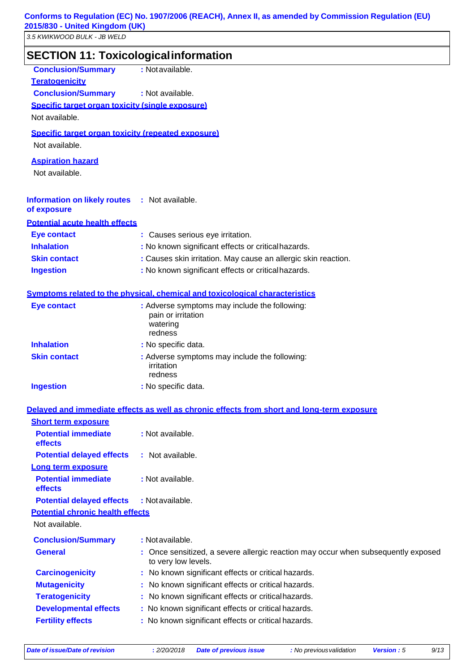*3.5 KWIKWOOD BULK - JB WELD*

| <b>SECTION 11: Toxicologicalinformation</b>                          |                                                                                                          |  |  |  |  |
|----------------------------------------------------------------------|----------------------------------------------------------------------------------------------------------|--|--|--|--|
| <b>Conclusion/Summary</b>                                            | : Not available.                                                                                         |  |  |  |  |
| <b>Teratogenicity</b>                                                |                                                                                                          |  |  |  |  |
| <b>Conclusion/Summary</b>                                            | : Not available.                                                                                         |  |  |  |  |
| Specific target organ toxicity (single exposure)                     |                                                                                                          |  |  |  |  |
| Not available.                                                       |                                                                                                          |  |  |  |  |
| Specific target organ toxicity (repeated exposure)<br>Not available. |                                                                                                          |  |  |  |  |
| <b>Aspiration hazard</b><br>Not available.                           |                                                                                                          |  |  |  |  |
| <b>Information on likely routes : Not available.</b><br>of exposure  |                                                                                                          |  |  |  |  |
| <b>Potential acute health effects</b>                                |                                                                                                          |  |  |  |  |
| <b>Eye contact</b>                                                   | : Causes serious eye irritation.                                                                         |  |  |  |  |
| <b>Inhalation</b>                                                    | : No known significant effects or critical hazards.                                                      |  |  |  |  |
| <b>Skin contact</b>                                                  | : Causes skin irritation. May cause an allergic skin reaction.                                           |  |  |  |  |
| <b>Ingestion</b>                                                     | : No known significant effects or critical hazards.                                                      |  |  |  |  |
|                                                                      | Symptoms related to the physical, chemical and toxicological characteristics                             |  |  |  |  |
| <b>Eye contact</b>                                                   | : Adverse symptoms may include the following:                                                            |  |  |  |  |
|                                                                      | pain or irritation<br>watering<br>redness                                                                |  |  |  |  |
| <b>Inhalation</b>                                                    | : No specific data.                                                                                      |  |  |  |  |
| <b>Skin contact</b>                                                  | : Adverse symptoms may include the following:<br>irritation<br>redness                                   |  |  |  |  |
| <b>Ingestion</b>                                                     | : No specific data.                                                                                      |  |  |  |  |
|                                                                      | Delayed and immediate effects as well as chronic effects from short and long-term exposure               |  |  |  |  |
| <b>Short term exposure</b>                                           |                                                                                                          |  |  |  |  |
| <b>Potential immediate</b><br>effects                                | : Not available.                                                                                         |  |  |  |  |
| <b>Potential delayed effects</b>                                     | : Not available.                                                                                         |  |  |  |  |
| Long term exposure                                                   |                                                                                                          |  |  |  |  |
| <b>Potential immediate</b><br>effects                                | : Not available.                                                                                         |  |  |  |  |
| <b>Potential delayed effects</b>                                     | : Not available.                                                                                         |  |  |  |  |
| <b>Potential chronic health effects</b>                              |                                                                                                          |  |  |  |  |
| Not available.                                                       |                                                                                                          |  |  |  |  |
| <b>Conclusion/Summary</b>                                            | : Not available.                                                                                         |  |  |  |  |
| <b>General</b>                                                       | : Once sensitized, a severe allergic reaction may occur when subsequently exposed<br>to very low levels. |  |  |  |  |
| <b>Carcinogenicity</b>                                               | : No known significant effects or critical hazards.                                                      |  |  |  |  |
| <b>Mutagenicity</b>                                                  | : No known significant effects or critical hazards.                                                      |  |  |  |  |
| <b>Teratogenicity</b>                                                | : No known significant effects or critical hazards.                                                      |  |  |  |  |
| <b>Developmental effects</b>                                         | : No known significant effects or critical hazards.                                                      |  |  |  |  |
| <b>Fertility effects</b>                                             | : No known significant effects or critical hazards.                                                      |  |  |  |  |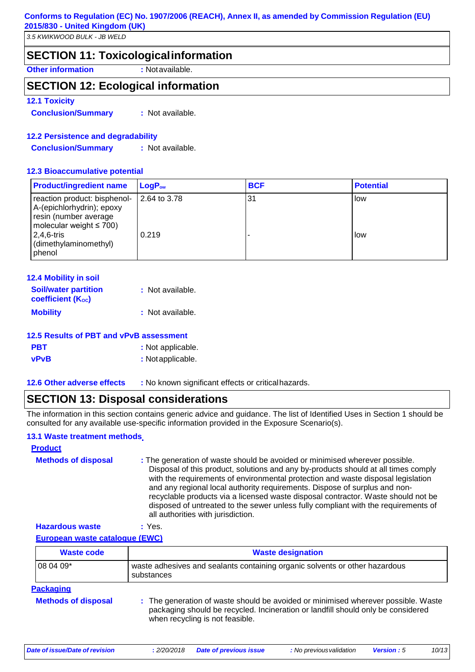### **SECTION 11: Toxicologicalinformation**

**Other information :** Notavailable.

### **SECTION 12: Ecological information**

#### **12.1 Toxicity**

**Conclusion/Summary :** Not available.

#### **12.2 Persistence and degradability**

**Conclusion/Summary :** Not available.

#### **12.3 Bioaccumulative potential**

| <b>Product/ingredient name</b>                                                                                      | $\mathsf{LogP}_\mathsf{ow}$ | <b>BCF</b> | <b>Potential</b> |
|---------------------------------------------------------------------------------------------------------------------|-----------------------------|------------|------------------|
| reaction product: bisphenol-<br>A-(epichlorhydrin); epoxy<br>resin (number average<br>molecular weight $\leq 700$ ) | 2.64 to 3.78                | 31         | low              |
| $2,4,6$ -tris<br>(dimethylaminomethyl)<br>phenol                                                                    | 0.219                       |            | low              |

| <b>12.4 Mobility in soil</b>                            |                  |
|---------------------------------------------------------|------------------|
| <b>Soil/water partition</b><br><b>coefficient (Koc)</b> | : Not available. |
| <b>Mobility</b>                                         | : Not available. |

# **12.5 Results of PBT and vPvB assessment PBT** : Not applicable.

- **vPvB :** Notapplicable.
- 

**12.6 Other adverse effects :** No known significant effects or criticalhazards.

### **SECTION 13: Disposal considerations**

The information in this section contains generic advice and guidance. The list of Identified Uses in Section 1 should be consulted for any available use-specific information provided in the Exposure Scenario(s).

#### **13.1 Waste treatment methods**

| <b>Product</b>             |                                                                                                                                                                                                                                                                                                                                                                                                                                                                                                                                                      |
|----------------------------|------------------------------------------------------------------------------------------------------------------------------------------------------------------------------------------------------------------------------------------------------------------------------------------------------------------------------------------------------------------------------------------------------------------------------------------------------------------------------------------------------------------------------------------------------|
| <b>Methods of disposal</b> | : The generation of waste should be avoided or minimised wherever possible.<br>Disposal of this product, solutions and any by-products should at all times comply<br>with the requirements of environmental protection and waste disposal legislation<br>and any regional local authority requirements. Dispose of surplus and non-<br>recyclable products via a licensed waste disposal contractor. Waste should not be<br>disposed of untreated to the sewer unless fully compliant with the requirements of<br>all authorities with jurisdiction. |
|                            |                                                                                                                                                                                                                                                                                                                                                                                                                                                                                                                                                      |

**Hazardous waste :** Yes. **European waste catalogue (EWC)**

| <b>Waste code</b>          | <b>Waste designation</b>                                                                                                                                                                                 |  |  |
|----------------------------|----------------------------------------------------------------------------------------------------------------------------------------------------------------------------------------------------------|--|--|
| 08 04 09*                  | waste adhesives and sealants containing organic solvents or other hazardous<br>substances                                                                                                                |  |  |
| <b>Packaging</b>           |                                                                                                                                                                                                          |  |  |
| <b>Methods of disposal</b> | : The generation of waste should be avoided or minimised wherever possible. Waste<br>packaging should be recycled. Incineration or landfill should only be considered<br>when recycling is not feasible. |  |  |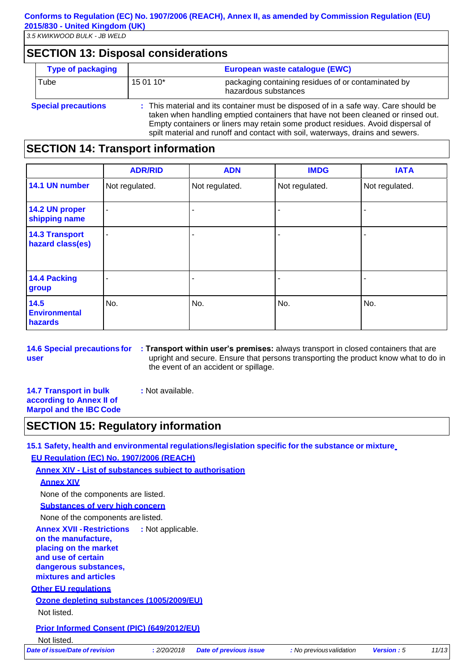### **SECTION 13: Disposal considerations**

| <b>Type of packaging</b>   | European waste catalogue (EWC)                                                                                                                                                                                                                                                                                                               |                                                                             |
|----------------------------|----------------------------------------------------------------------------------------------------------------------------------------------------------------------------------------------------------------------------------------------------------------------------------------------------------------------------------------------|-----------------------------------------------------------------------------|
| Tube                       | 15 01 10*                                                                                                                                                                                                                                                                                                                                    | packaging containing residues of or contaminated by<br>hazardous substances |
| <b>Special precautions</b> | : This material and its container must be disposed of in a safe way. Care should be<br>taken when handling emptied containers that have not been cleaned or rinsed out.<br>Empty containers or liners may retain some product residues. Avoid dispersal of<br>spilt material and runoff and contact with soil, waterways, drains and sewers. |                                                                             |

### **SECTION 14: Transport information**

|                                           | <b>ADR/RID</b> | <b>ADN</b>     | <b>IMDG</b>    | <b>IATA</b>    |
|-------------------------------------------|----------------|----------------|----------------|----------------|
| 14.1 UN number                            | Not regulated. | Not regulated. | Not regulated. | Not regulated. |
| 14.2 UN proper<br>shipping name           | ٠              |                |                |                |
| <b>14.3 Transport</b><br>hazard class(es) | ٠              |                |                |                |
| 14.4 Packing<br>group                     |                |                |                |                |
| 14.5<br><b>Environmental</b><br>hazards   | No.            | No.            | No.            | No.            |

**14.6 Special precautions for user**

**: Transport within user's premises:** always transport in closed containers that are upright and secure. Ensure that persons transporting the product know what to do in the event of an accident or spillage.

**14.7 Transport in bulk according to Annex II of Marpol and the IBC Code :** Not available.

# **SECTION 15: Regulatory information**

**15.1 Safety, health and environmental regulations/legislation specific for the substance or mixture**

**EU Regulation (EC) No. 1907/2006 (REACH)**

**Annex XIV - List of substances subject to authorisation**

#### **Annex XIV**

None of the components are listed.

**Substances of very high concern**

None of the components are listed.

**Annex XVII -Restrictions :** Not applicable.

**on the manufacture, placing on the market and use of certain** 

**dangerous substances, mixtures and articles**

#### **Other EU regulations**

**Ozone depleting substances (1005/2009/EU)**

Not listed.

#### **Prior Informed Consent (PIC) (649/2012/EU)**

Not listed.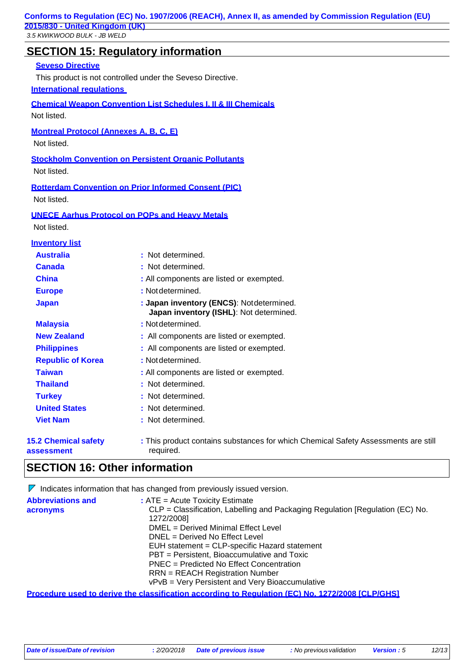# **SECTION 15: Regulatory information**

#### **Seveso Directive**

This product is not controlled under the Seveso Directive.

#### **International regulations**

**Chemical Weapon Convention List Schedules I, II & III Chemicals** Not listed.

**Montreal Protocol (Annexes A, B, C, E)**

Not listed.

**Stockholm Convention on Persistent Organic Pollutants** Not listed.

**Rotterdam Convention on Prior Informed Consent (PIC)** Not listed.

**UNECE Aarhus Protocol on POPs and Heavy Metals**

Not listed.

| <b>Inventory list</b>                     |                                                                                                 |  |
|-------------------------------------------|-------------------------------------------------------------------------------------------------|--|
| <b>Australia</b>                          | : Not determined.                                                                               |  |
| <b>Canada</b>                             | : Not determined.                                                                               |  |
| <b>China</b>                              | : All components are listed or exempted.                                                        |  |
| <b>Europe</b>                             | : Not determined.                                                                               |  |
| <b>Japan</b>                              | : Japan inventory (ENCS): Notdetermined.<br>Japan inventory (ISHL): Not determined.             |  |
| <b>Malaysia</b>                           | : Not determined.                                                                               |  |
| <b>New Zealand</b>                        | : All components are listed or exempted.                                                        |  |
| <b>Philippines</b>                        | : All components are listed or exempted.                                                        |  |
| <b>Republic of Korea</b>                  | : Not determined.                                                                               |  |
| <b>Taiwan</b>                             | : All components are listed or exempted.                                                        |  |
| <b>Thailand</b>                           | : Not determined.                                                                               |  |
| <b>Turkey</b>                             | : Not determined.                                                                               |  |
| <b>United States</b>                      | : Not determined.                                                                               |  |
| <b>Viet Nam</b>                           | : Not determined.                                                                               |  |
| <b>15.2 Chemical safety</b><br>assessment | : This product contains substances for which Chemical Safety Assessments are still<br>required. |  |

# **SECTION 16: Other information**

|                                        | $\nabla$ Indicates information that has changed from previously issued version.                         |
|----------------------------------------|---------------------------------------------------------------------------------------------------------|
| <b>Abbreviations and</b>               | $:$ ATE = Acute Toxicity Estimate                                                                       |
| acronyms                               | CLP = Classification, Labelling and Packaging Regulation [Regulation (EC) No.                           |
|                                        | 1272/2008]                                                                                              |
|                                        | DMEL = Derived Minimal Effect Level                                                                     |
|                                        | DNEL = Derived No Effect Level                                                                          |
|                                        | EUH statement = CLP-specific Hazard statement                                                           |
|                                        | PBT = Persistent, Bioaccumulative and Toxic                                                             |
|                                        | PNEC = Predicted No Effect Concentration                                                                |
| <b>RRN</b> = REACH Registration Number |                                                                                                         |
|                                        | vPvB = Very Persistent and Very Bioaccumulative                                                         |
|                                        | <u>Procedure used to derive the classification according to Regulation (EC) No. 1272/2008 [CLP/GHS]</u> |